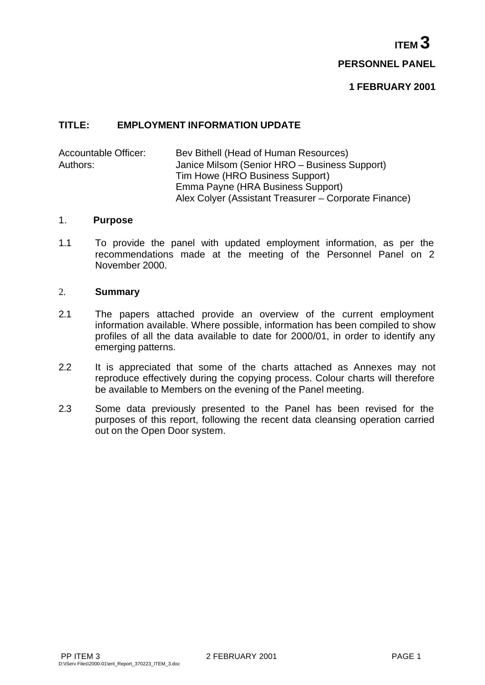$I$  **PERSONNEL PANEL**

### **TITLE: EMPLOYMENT INFORMATION UPDATE**

Accountable Officer: Bev Bithell (Head of Human Resources) Authors: Janice Milsom (Senior HRO – Business Support) Tim Howe (HRO Business Support) Emma Payne (HRA Business Support) Alex Colyer (Assistant Treasurer – Corporate Finance)

#### 1. **Purpose**

1.1 To provide the panel with updated employment information, as per the recommendations made at the meeting of the Personnel Panel on 2 November 2000.

#### 2. **Summary**

- 2.1 The papers attached provide an overview of the current employment information available. Where possible, information has been compiled to show profiles of all the data available to date for 2000/01, in order to identify any emerging patterns.
- 2.2 It is appreciated that some of the charts attached as Annexes may not reproduce effectively during the copying process. Colour charts will therefore be available to Members on the evening of the Panel meeting.
- 2.3 Some data previously presented to the Panel has been revised for the purposes of this report, following the recent data cleansing operation carried out on the Open Door system.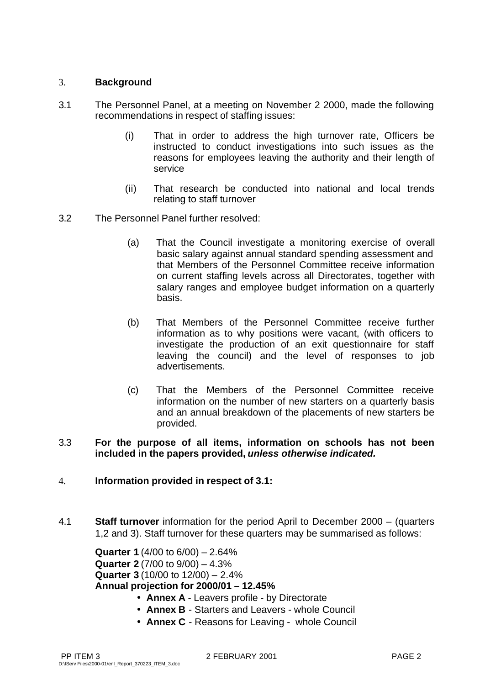# 3. **Background**

- 3.1 The Personnel Panel, at a meeting on November 2 2000, made the following recommendations in respect of staffing issues:
	- (i) That in order to address the high turnover rate, Officers be instructed to conduct investigations into such issues as the reasons for employees leaving the authority and their length of service
	- (ii) That research be conducted into national and local trends relating to staff turnover
- 3.2 The Personnel Panel further resolved:
	- (a) That the Council investigate a monitoring exercise of overall basic salary against annual standard spending assessment and that Members of the Personnel Committee receive information on current staffing levels across all Directorates, together with salary ranges and employee budget information on a quarterly basis.
	- (b) That Members of the Personnel Committee receive further information as to why positions were vacant, (with officers to investigate the production of an exit questionnaire for staff leaving the council) and the level of responses to job advertisements.
	- (c) That the Members of the Personnel Committee receive information on the number of new starters on a quarterly basis and an annual breakdown of the placements of new starters be provided.

### 3.3 **For the purpose of all items, information on schools has not been included in the papers provided,** *unless otherwise indicated.*

# 4. **Information provided in respect of 3.1:**

4.1 **Staff turnover** information for the period April to December 2000 – (quarters 1,2 and 3). Staff turnover for these quarters may be summarised as follows:

**Quarter 1** (4/00 to 6/00) – 2.64% **Quarter 2** (7/00 to 9/00) – 4.3% **Quarter 3** (10/00 to 12/00) – 2.4% **Annual projection for 2000/01 – 12.45%**

- **Annex A** Leavers profile by Directorate
- **Annex B** Starters and Leavers whole Council
- **Annex C** Reasons for Leaving whole Council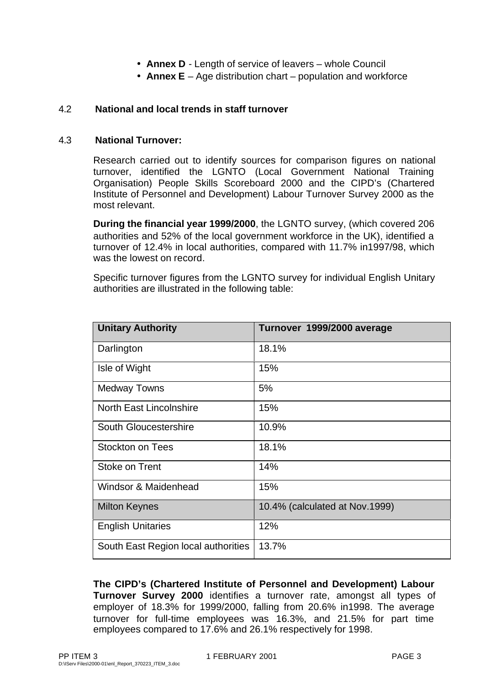- **Annex D** Length of service of leavers whole Council
- **Annex E** Age distribution chart population and workforce

# 4.2 **National and local trends in staff turnover**

### 4.3 **National Turnover:**

Research carried out to identify sources for comparison figures on national turnover, identified the LGNTO (Local Government National Training Organisation) People Skills Scoreboard 2000 and the CIPD's (Chartered Institute of Personnel and Development) Labour Turnover Survey 2000 as the most relevant.

**During the financial year 1999/2000**, the LGNTO survey, (which covered 206 authorities and 52% of the local government workforce in the UK), identified a turnover of 12.4% in local authorities, compared with 11.7% in1997/98, which was the lowest on record.

Specific turnover figures from the LGNTO survey for individual English Unitary authorities are illustrated in the following table:

| <b>Unitary Authority</b>            | Turnover 1999/2000 average     |  |
|-------------------------------------|--------------------------------|--|
| Darlington                          | 18.1%                          |  |
| Isle of Wight                       | 15%                            |  |
| <b>Medway Towns</b>                 | 5%                             |  |
| <b>North East Lincolnshire</b>      | 15%                            |  |
| South Gloucestershire               | 10.9%                          |  |
| Stockton on Tees                    | 18.1%                          |  |
| Stoke on Trent                      | 14%                            |  |
| Windsor & Maidenhead                | 15%                            |  |
| <b>Milton Keynes</b>                | 10.4% (calculated at Nov.1999) |  |
| <b>English Unitaries</b>            | 12%                            |  |
| South East Region local authorities | 13.7%                          |  |

**The CIPD's (Chartered Institute of Personnel and Development) Labour Turnover Survey 2000** identifies a turnover rate, amongst all types of employer of 18.3% for 1999/2000, falling from 20.6% in1998. The average turnover for full-time employees was 16.3%, and 21.5% for part time employees compared to 17.6% and 26.1% respectively for 1998.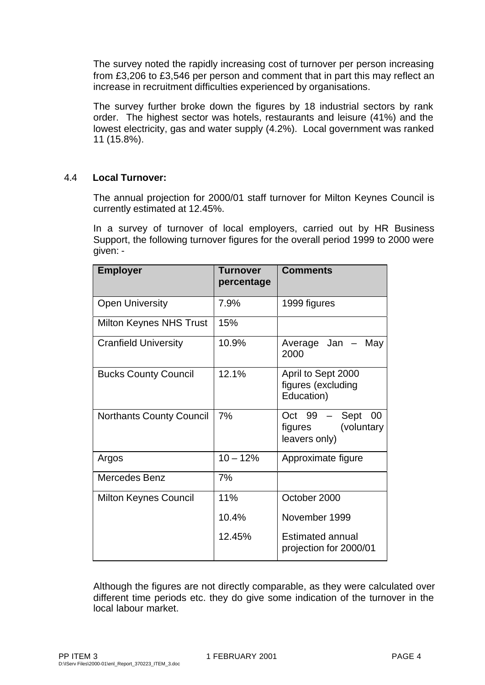The survey noted the rapidly increasing cost of turnover per person increasing from £3,206 to £3,546 per person and comment that in part this may reflect an increase in recruitment difficulties experienced by organisations.

The survey further broke down the figures by 18 industrial sectors by rank order. The highest sector was hotels, restaurants and leisure (41%) and the lowest electricity, gas and water supply (4.2%). Local government was ranked 11 (15.8%).

# 4.4 **Local Turnover:**

The annual projection for 2000/01 staff turnover for Milton Keynes Council is currently estimated at 12.45%.

In a survey of turnover of local employers, carried out by HR Business Support, the following turnover figures for the overall period 1999 to 2000 were given: -

| <b>Employer</b>                 | Turnover<br>percentage | <b>Comments</b>                                                |
|---------------------------------|------------------------|----------------------------------------------------------------|
| <b>Open University</b>          | 7.9%                   | 1999 figures                                                   |
| Milton Keynes NHS Trust         | 15%                    |                                                                |
| <b>Cranfield University</b>     | 10.9%                  | Average Jan<br>May<br>2000                                     |
| <b>Bucks County Council</b>     | 12.1%                  | April to Sept 2000<br>figures (excluding<br>Education)         |
| <b>Northants County Council</b> | 7%                     | Sept<br>00<br>Oct 99<br>(voluntary<br>figures<br>leavers only) |
| Argos                           | $10 - 12%$             | Approximate figure                                             |
| <b>Mercedes Benz</b>            | 7%                     |                                                                |
| <b>Milton Keynes Council</b>    | 11%                    | October 2000                                                   |
|                                 | 10.4%                  | November 1999                                                  |
|                                 | 12.45%                 | <b>Estimated annual</b><br>projection for 2000/01              |

Although the figures are not directly comparable, as they were calculated over different time periods etc. they do give some indication of the turnover in the local labour market.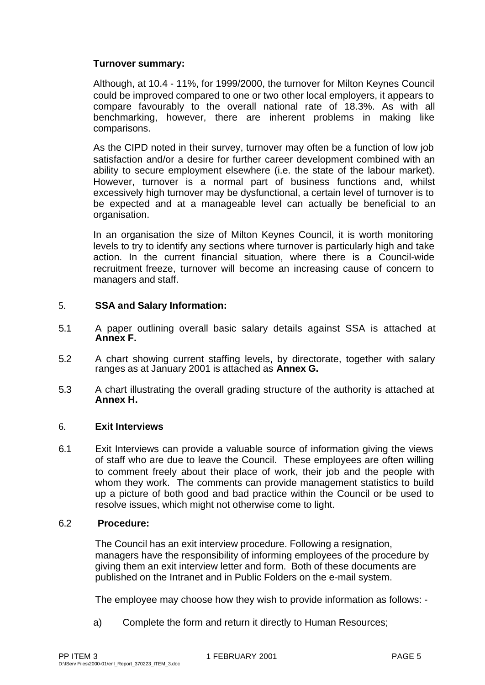# **Turnover summary:**

Although, at 10.4 - 11%, for 1999/2000, the turnover for Milton Keynes Council could be improved compared to one or two other local employers, it appears to compare favourably to the overall national rate of 18.3%. As with all benchmarking, however, there are inherent problems in making like comparisons.

As the CIPD noted in their survey, turnover may often be a function of low job satisfaction and/or a desire for further career development combined with an ability to secure employment elsewhere (i.e. the state of the labour market). However, turnover is a normal part of business functions and, whilst excessively high turnover may be dysfunctional, a certain level of turnover is to be expected and at a manageable level can actually be beneficial to an organisation.

In an organisation the size of Milton Keynes Council, it is worth monitoring levels to try to identify any sections where turnover is particularly high and take action. In the current financial situation, where there is a Council-wide recruitment freeze, turnover will become an increasing cause of concern to managers and staff.

# 5. **SSA and Salary Information:**

- 5.1 A paper outlining overall basic salary details against SSA is attached at **Annex F.**
- 5.2 A chart showing current staffing levels, by directorate, together with salary ranges as at January 2001 is attached as **Annex G.**
- 5.3 A chart illustrating the overall grading structure of the authority is attached at **Annex H.**

# 6. **Exit Interviews**

6.1 Exit Interviews can provide a valuable source of information giving the views of staff who are due to leave the Council. These employees are often willing to comment freely about their place of work, their job and the people with whom they work. The comments can provide management statistics to build up a picture of both good and bad practice within the Council or be used to resolve issues, which might not otherwise come to light.

# 6.2 **Procedure:**

The Council has an exit interview procedure. Following a resignation, managers have the responsibility of informing employees of the procedure by giving them an exit interview letter and form. Both of these documents are published on the Intranet and in Public Folders on the e-mail system.

The employee may choose how they wish to provide information as follows: -

a) Complete the form and return it directly to Human Resources;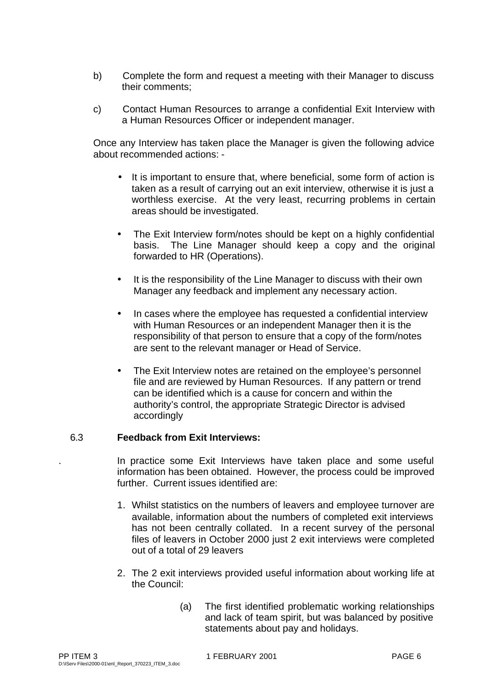- b) Complete the form and request a meeting with their Manager to discuss their comments;
- c) Contact Human Resources to arrange a confidential Exit Interview with a Human Resources Officer or independent manager.

Once any Interview has taken place the Manager is given the following advice about recommended actions: -

- It is important to ensure that, where beneficial, some form of action is taken as a result of carrying out an exit interview, otherwise it is just a worthless exercise. At the very least, recurring problems in certain areas should be investigated.
- The Exit Interview form/notes should be kept on a highly confidential basis. The Line Manager should keep a copy and the original forwarded to HR (Operations).
- It is the responsibility of the Line Manager to discuss with their own Manager any feedback and implement any necessary action.
- In cases where the employee has requested a confidential interview with Human Resources or an independent Manager then it is the responsibility of that person to ensure that a copy of the form/notes are sent to the relevant manager or Head of Service.
- The Exit Interview notes are retained on the employee's personnel file and are reviewed by Human Resources. If any pattern or trend can be identified which is a cause for concern and within the authority's control, the appropriate Strategic Director is advised accordingly

# 6.3 **Feedback from Exit Interviews:**

. In practice some Exit Interviews have taken place and some useful information has been obtained. However, the process could be improved further. Current issues identified are:

- 1. Whilst statistics on the numbers of leavers and employee turnover are available, information about the numbers of completed exit interviews has not been centrally collated. In a recent survey of the personal files of leavers in October 2000 just 2 exit interviews were completed out of a total of 29 leavers
- 2. The 2 exit interviews provided useful information about working life at the Council:
	- (a) The first identified problematic working relationships and lack of team spirit, but was balanced by positive statements about pay and holidays.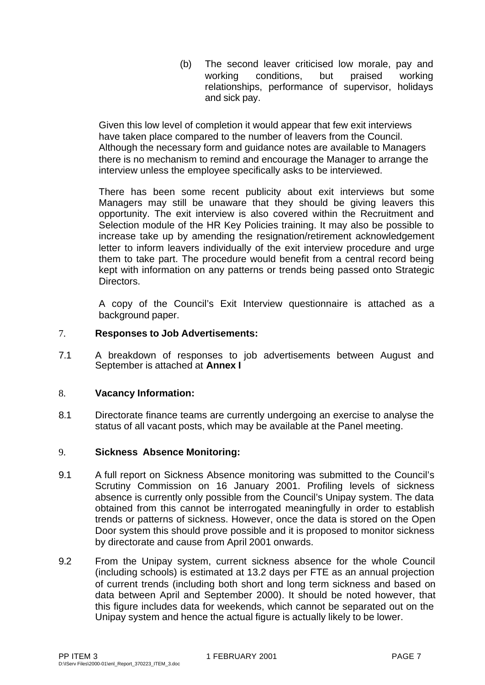(b) The second leaver criticised low morale, pay and working conditions, but praised working relationships, performance of supervisor, holidays and sick pay.

Given this low level of completion it would appear that few exit interviews have taken place compared to the number of leavers from the Council. Although the necessary form and guidance notes are available to Managers there is no mechanism to remind and encourage the Manager to arrange the interview unless the employee specifically asks to be interviewed.

There has been some recent publicity about exit interviews but some Managers may still be unaware that they should be giving leavers this opportunity. The exit interview is also covered within the Recruitment and Selection module of the HR Key Policies training. It may also be possible to increase take up by amending the resignation/retirement acknowledgement letter to inform leavers individually of the exit interview procedure and urge them to take part. The procedure would benefit from a central record being kept with information on any patterns or trends being passed onto Strategic Directors.

A copy of the Council's Exit Interview questionnaire is attached as a background paper.

# 7. **Responses to Job Advertisements:**

7.1 A breakdown of responses to job advertisements between August and September is attached at **Annex I**

#### 8. **Vacancy Information:**

8.1 Directorate finance teams are currently undergoing an exercise to analyse the status of all vacant posts, which may be available at the Panel meeting.

#### 9. **Sickness Absence Monitoring:**

- 9.1 A full report on Sickness Absence monitoring was submitted to the Council's Scrutiny Commission on 16 January 2001. Profiling levels of sickness absence is currently only possible from the Council's Unipay system. The data obtained from this cannot be interrogated meaningfully in order to establish trends or patterns of sickness. However, once the data is stored on the Open Door system this should prove possible and it is proposed to monitor sickness by directorate and cause from April 2001 onwards.
- 9.2 From the Unipay system, current sickness absence for the whole Council (including schools) is estimated at 13.2 days per FTE as an annual projection of current trends (including both short and long term sickness and based on data between April and September 2000). It should be noted however, that this figure includes data for weekends, which cannot be separated out on the Unipay system and hence the actual figure is actually likely to be lower.